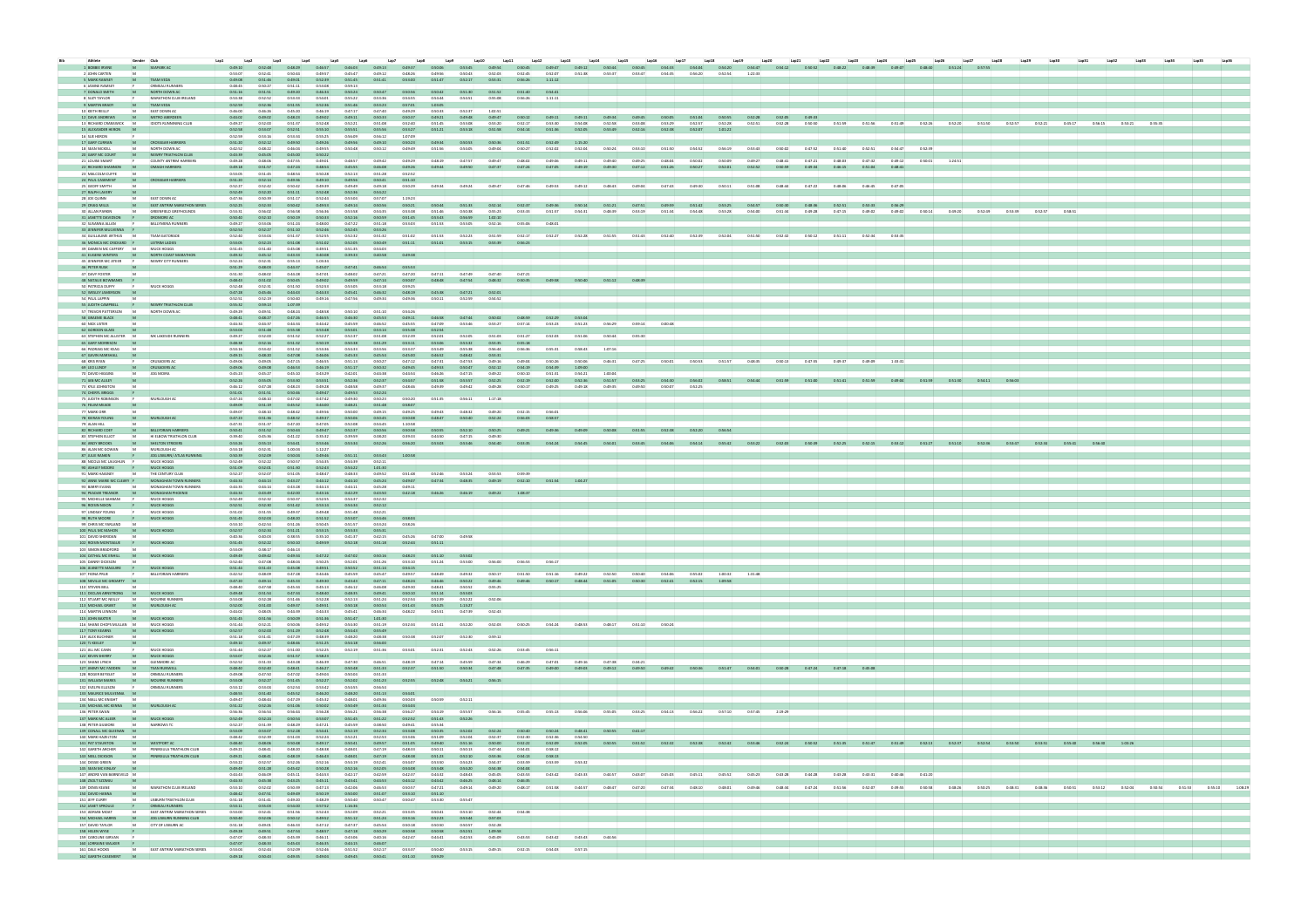| 8ib Athlete Gender Club<br>1 BOBBIE INVINE M SEAPARK AC                                                                            |    |                                                                                                                                                                                                                                                                                                                                                                                                                                                              |             |                                                      |             |                                 |                                                                                                                                                                                                                                                                                                                                 |                 |         |                                                                             |             |         |                 |         |                  |                                                                                                                                                                                                                                    |         |  |  |                                                                                                                                                                                                                                 |  |         |                                                                                                                                                                                                                                  |           |  | Lap31                                                                                                                                                                                                                                | Lap33 |  |
|------------------------------------------------------------------------------------------------------------------------------------|----|--------------------------------------------------------------------------------------------------------------------------------------------------------------------------------------------------------------------------------------------------------------------------------------------------------------------------------------------------------------------------------------------------------------------------------------------------------------|-------------|------------------------------------------------------|-------------|---------------------------------|---------------------------------------------------------------------------------------------------------------------------------------------------------------------------------------------------------------------------------------------------------------------------------------------------------------------------------|-----------------|---------|-----------------------------------------------------------------------------|-------------|---------|-----------------|---------|------------------|------------------------------------------------------------------------------------------------------------------------------------------------------------------------------------------------------------------------------------|---------|--|--|---------------------------------------------------------------------------------------------------------------------------------------------------------------------------------------------------------------------------------|--|---------|----------------------------------------------------------------------------------------------------------------------------------------------------------------------------------------------------------------------------------|-----------|--|--------------------------------------------------------------------------------------------------------------------------------------------------------------------------------------------------------------------------------------|-------|--|
| 2 JOHN CARTEN<br>S MARK RAMSEY M TEAM VEDA                                                                                         |    |                                                                                                                                                                                                                                                                                                                                                                                                                                                              |             |                                                      |             |                                 |                                                                                                                                                                                                                                                                                                                                 |                 |         |                                                                             |             |         |                 |         |                  |                                                                                                                                                                                                                                    |         |  |  |                                                                                                                                                                                                                                 |  |         |                                                                                                                                                                                                                                  |           |  |                                                                                                                                                                                                                                      |       |  |
|                                                                                                                                    |    | $\begin{tabular}{l c c c c} \hline $6$ & \textit{ANNER} RAMSEY & & & \multicolumn{2}{c}{\textit{CRMEAU RUNNERS}} \\ \hline \multicolumn{2}{c}{\textit{7}~\textit{DONALD SMITH}} & & \multicolumn{2}{c}{\textit{M}} & \multicolumn{2}{c}{\textit{NOMEAU RUNNERS}} \\ \hline \multicolumn{2}{c}{\textit{8}~\textit{NOMAIC}} & & \multicolumn{2}{c}{\textit{M}} & \multicolumn{2}{c}{\textit{NOMEAU RUNNERS}} \\ \hline \multicolumn{2}{c}{\textit{9}~$         |             |                                                      | 0.51:11     |                                 | 0.59:13                                                                                                                                                                                                                                                                                                                         |                 |         |                                                                             |             |         |                 |         |                  |                                                                                                                                                                                                                                    |         |  |  |                                                                                                                                                                                                                                 |  |         |                                                                                                                                                                                                                                  |           |  |                                                                                                                                                                                                                                      |       |  |
|                                                                                                                                    |    |                                                                                                                                                                                                                                                                                                                                                                                                                                                              |             |                                                      |             |                                 | 0-48-45 0-50-27 0-51-11 0-53-08 0-597-13<br>0-51-16 0-51-53 0-49-20 0-62-34 0-50-24 0-50-47 0-50-56 0-50-42 0-51-30 0-51-52 0-51-40 0-54-41<br>0-51-38 0-53-52 0-53-33 0-54-01 0-55-22 0-53-36 0-54-55 0-54-44 0-54-51 0-55-08 0-56-                                                                                            |                 |         |                                                                             |             |         |                 |         |                  |                                                                                                                                                                                                                                    |         |  |  |                                                                                                                                                                                                                                 |  |         |                                                                                                                                                                                                                                  |           |  |                                                                                                                                                                                                                                      |       |  |
|                                                                                                                                    |    |                                                                                                                                                                                                                                                                                                                                                                                                                                                              |             |                                                      |             |                                 | $\begin{array}{cccccccc} 0.53:38 & 0.52:52 & 0.53:33 & 0.54:01 & 0.55:22 & 0.53:36 & 0.54:55 & 0.54:44 \\[2mm] 0.52:59 & 0.52:36 & 0.51:55 & 0.52:36 & 0.51:46 & 0.53:23 & 0.57:01 & 1.03:05 \end{array}$                                                                                                                       |                 |         |                                                                             |             |         |                 |         |                  |                                                                                                                                                                                                                                    |         |  |  |                                                                                                                                                                                                                                 |  |         |                                                                                                                                                                                                                                  |           |  |                                                                                                                                                                                                                                      |       |  |
|                                                                                                                                    |    | 10 KEITH REILLY M EAST DOWN AC<br>12 DAVE ANDREWS M METRO ABERDEEN                                                                                                                                                                                                                                                                                                                                                                                           |             |                                                      |             |                                 |                                                                                                                                                                                                                                                                                                                                 |                 |         |                                                                             |             |         |                 |         |                  |                                                                                                                                                                                                                                    |         |  |  |                                                                                                                                                                                                                                 |  |         |                                                                                                                                                                                                                                  |           |  | 0-01234 0-0437 0-0432 0-0237 0-0332 0-0333 0-0334 0-0434 0-0434 0-043 0-0434 0-043 0-033 0-033 0-033 0-033 0-033<br>0-4432 0-0432 0-0432 0-0331 0-0331 0-0332 0-0343 0-0437 0-0432 0-0431 0-0434 0-043 0-0333 0-0333 0-0333 0-033    |       |  |
| 15 ALEXANDER HERON M M                                                                                                             |    | 13 RICHARD CRANSWICK M IDIOTS RUNNINING CLUB                                                                                                                                                                                                                                                                                                                                                                                                                 |             |                                                      |             |                                 |                                                                                                                                                                                                                                                                                                                                 |                 |         |                                                                             |             |         |                 |         |                  |                                                                                                                                                                                                                                    |         |  |  |                                                                                                                                                                                                                                 |  |         |                                                                                                                                                                                                                                  |           |  |                                                                                                                                                                                                                                      |       |  |
|                                                                                                                                    |    | 16 SUE HERON F<br>17 GARY CURRAN M CROSSGAR HARRIERS                                                                                                                                                                                                                                                                                                                                                                                                         |             |                                                      |             |                                 | 05259 053:16 05334 055:25 056:09 056:12 1:07:09<br>051:20 052:12 0:49:50 0:49:26 0:49:56 0:49:10 050:23 0:49:34 050:53 0:50:36 0:51:51 0:52:49 1:15:20                                                                                                                                                                          |                 |         |                                                                             |             |         |                 |         |                  |                                                                                                                                                                                                                                    |         |  |  |                                                                                                                                                                                                                                 |  |         |                                                                                                                                                                                                                                  |           |  |                                                                                                                                                                                                                                      |       |  |
|                                                                                                                                    |    |                                                                                                                                                                                                                                                                                                                                                                                                                                                              |             | 0:48:22                                              | 0.46:04     | 0:49:55                         |                                                                                                                                                                                                                                                                                                                                 |                 |         |                                                                             |             |         |                 |         |                  |                                                                                                                                                                                                                                    |         |  |  |                                                                                                                                                                                                                                 |  |         | 0.50x48 0.50:12 0.49x49 0.51:56 0.54:05 0.49x94 0.50:27 0.52:02 0.53:04 0.53:10 0.53:50 0.54:52 0.56:19 0.53:48 0.50:02 0.47:52 0.51:40 0.52:39                                                                                  |           |  |                                                                                                                                                                                                                                      |       |  |
| 21 LOUISE SMART                                                                                                                    |    | $\begin{tabular}{l c c c c} \hline 18 & SEAN NICKEL & \multicolumn{2}{c}{M} & \multicolumn{2}{c}{NORMN}\,\texttt{AC} \\ 20 & \multicolumn{2}{c}{GANN}\,\texttt{MCC}\,\texttt{OUT} & \multicolumn{2}{c}{M} & \multicolumn{2}{c}{NORMN}\,\texttt{TC} \\ \hline \end{tabular}$<br>COUNTY ANTRIM HARRIERS                                                                                                                                                        |             |                                                      |             | 0.4339 0.45.05 0.45.00 0.50.22  |                                                                                                                                                                                                                                                                                                                                 |                 |         |                                                                             |             |         |                 |         |                  |                                                                                                                                                                                                                                    |         |  |  |                                                                                                                                                                                                                                 |  |         |                                                                                                                                                                                                                                  | $1:24-51$ |  |                                                                                                                                                                                                                                      |       |  |
|                                                                                                                                    |    | 22 RICHARD SHANNON M OMAGH HARRIERS                                                                                                                                                                                                                                                                                                                                                                                                                          |             |                                                      |             |                                 |                                                                                                                                                                                                                                                                                                                                 |                 |         |                                                                             |             |         |                 |         |                  |                                                                                                                                                                                                                                    |         |  |  |                                                                                                                                                                                                                                 |  |         | 0-09334 0-4504 0-4525 0-4547 0-4546 0-4534 0-4535 0-4537 0-4536 0-4542 0-4546 0-4532 0-5336 0-4335 0-4336 0-43<br>0-09334 0-4535 0-4534 0-4536 0-4640 0-4534 0-4539 0-4537 0-4536 0-4549 0-4549 0-4542 0-4549 0-4535 0-4549 0-45 |           |  |                                                                                                                                                                                                                                      |       |  |
|                                                                                                                                    |    | $\begin{tabular}{l c c c c} \hline 23&\text{MALCDLM CUFFE} & \text{M} & \\ \hline 24&\text{PAUL CASEMENT} & \text{M} & \text{CROSSGAR HABRIERS} \\ \hline \end{tabular}$                                                                                                                                                                                                                                                                                     |             |                                                      |             |                                 | 0.53.05 0.51.45 0.48.54 0.50.28 0.52.13 0.51.28 0.52.52<br>0.51.20 0.52.14 0.49.36 0.49.10 0.49.56 0.50.41 0.51.10                                                                                                                                                                                                              |                 |         |                                                                             |             |         |                 |         |                  |                                                                                                                                                                                                                                    |         |  |  |                                                                                                                                                                                                                                 |  |         |                                                                                                                                                                                                                                  |           |  |                                                                                                                                                                                                                                      |       |  |
| 25 GEOFF SMYTH M M M 27 RALPH LAVERY M M                                                                                           |    |                                                                                                                                                                                                                                                                                                                                                                                                                                                              |             |                                                      |             |                                 | $\begin{array}{cccccc} 0.52.27 & 0.52.42 & 0.50.42 & 0.40:39 & 0.40:49 & 0.40:18 \\ 0.52.49 & 0.52.20 & 0.51:11 & 0.52:48 & 0.52:36 & 0.54.22 \end{array}$                                                                                                                                                                      |                 | 0:50:29 |                                                                             |             |         |                 |         |                  |                                                                                                                                                                                                                                    |         |  |  | 0.49:34 0.49:24 0.49:47 0.47:46 0.49:53 0.49:12 0.48:43 0.49:04 0.47:43 0.49:30 0.59:11 0.51:08 0.48:44 0.47:22 0.48:06 0.46:45 0.47:05                                                                                         |  |         |                                                                                                                                                                                                                                  |           |  |                                                                                                                                                                                                                                      |       |  |
| 28 JOE QUINN                                                                                                                       | A4 | EAST DOWN AC                                                                                                                                                                                                                                                                                                                                                                                                                                                 | 0:47:36     | 0:50:39                                              | 0.51:17     | 0:52:44                         | 0.53:04                                                                                                                                                                                                                                                                                                                         | 0.57.07         | 1:19:23 |                                                                             |             |         |                 |         |                  |                                                                                                                                                                                                                                    |         |  |  |                                                                                                                                                                                                                                 |  |         |                                                                                                                                                                                                                                  |           |  |                                                                                                                                                                                                                                      |       |  |
|                                                                                                                                    |    | 29 CRAIS MILLS M EAST ANTRIM MARATHON SERIES                                                                                                                                                                                                                                                                                                                                                                                                                 |             |                                                      |             |                                 |                                                                                                                                                                                                                                                                                                                                 |                 |         |                                                                             |             |         |                 |         |                  |                                                                                                                                                                                                                                    |         |  |  | 05225 05233 05042 04053 040:14 05056 05021 05044 05133 052:14 05237 04036 050:14 05121 04059 05142 05325 05457 05030 04836 05251 053-33 05629                                                                                   |  |         |                                                                                                                                                                                                                                  |           |  | 05851                                                                                                                                                                                                                                |       |  |
|                                                                                                                                    |    | 30 ALLAN PARKIN M GREENFIELD GREENHOUNDS<br>31 JANETTE DAVIDSON F DROMORE AC                                                                                                                                                                                                                                                                                                                                                                                 |             |                                                      |             |                                 |                                                                                                                                                                                                                                                                                                                                 |                 |         |                                                                             |             |         | 0.52:16 0.55:06 |         |                  |                                                                                                                                                                                                                                    |         |  |  |                                                                                                                                                                                                                                 |  |         | 05040 05020 0503 05030 05030 05140 05140 05030 05030 05157 05431 05330 05134 05440 05328 0540 05334 04920 04920 04920 05340 04920 05340 04920 05340 06329 05340 06329 05340 06329 05340 06329 05340 06329 05340 05340 05350 05   |           |  |                                                                                                                                                                                                                                      |       |  |
|                                                                                                                                    |    | 32 SUSANNA ALLAN F BALLYMENA RUNNERS<br>33 JENNIFER MULIVENNA F                                                                                                                                                                                                                                                                                                                                                                                              |             |                                                      |             |                                 | 0.52.54 0.52.27 0.51:10 0.52:46 0.52:45 0.53:26                                                                                                                                                                                                                                                                                 | 0.51:18         | 0:53:03 | 0.51:53 0.53.05                                                             |             |         |                 | 0:48:01 |                  |                                                                                                                                                                                                                                    |         |  |  |                                                                                                                                                                                                                                 |  |         |                                                                                                                                                                                                                                  |           |  |                                                                                                                                                                                                                                      |       |  |
|                                                                                                                                    |    | 34 GUILLAUME ARTHUS M TEAM GATORADE<br>36 MONICA MC CRICKARD F LEITRIM LADIES                                                                                                                                                                                                                                                                                                                                                                                |             |                                                      |             |                                 | 0.52.40 0.53.04 0.51.37 0.52.45 0.52.32 0.51.32 0.51.53 0.51.53 0.51.59 0.52.17<br>0.53.05 0.52.23 0.51.08 0.51.02 0.52.05 0.50.40 0.51.11 0.51.01 0.53.15 0.53.39 0.56.23                                                                                                                                                      |                 |         |                                                                             |             |         |                 | 0:52:27 |                  | 0.52:28 0.51:55 0.51:43 0.52:40 0.52:39 0.52:04 0.51:50                                                                                                                                                                            |         |  |  | 0:52:32 0:50:12                                                                                                                                                                                                                 |  |         |                                                                                                                                                                                                                                  |           |  |                                                                                                                                                                                                                                      |       |  |
| 39 DAMIEN MC CAFFERY M MUCK HOGGS                                                                                                  |    |                                                                                                                                                                                                                                                                                                                                                                                                                                                              |             |                                                      |             |                                 | $\begin{array}{cccccccc} 0.51.45 & 0.51.40 & 0.45.08 & 0.49.51 & 0.51.35 & 0.54.03 \\ 0.49.32 & 0.45.12 & 0.43.33 & 0.40.08 & 0.39.33 & 0.40.58 & 0.49.38 \end{array}$                                                                                                                                                          |                 |         |                                                                             |             |         |                 |         |                  |                                                                                                                                                                                                                                    |         |  |  |                                                                                                                                                                                                                                 |  |         |                                                                                                                                                                                                                                  |           |  |                                                                                                                                                                                                                                      |       |  |
|                                                                                                                                    |    | 41 EUGENE WINTERS M NORTH COAST MARATHON<br>45 JENNIFER MC ATEER F NEWRY CITY RUNNERS                                                                                                                                                                                                                                                                                                                                                                        | 0.52.24     | 0:52:31                                              | 0.55:13     | 1:03:34                         |                                                                                                                                                                                                                                                                                                                                 |                 |         |                                                                             |             |         |                 |         |                  |                                                                                                                                                                                                                                    |         |  |  |                                                                                                                                                                                                                                 |  |         |                                                                                                                                                                                                                                  |           |  |                                                                                                                                                                                                                                      |       |  |
| 46 PETER RUSK MILL MILL<br>47 DAVY FOSTER                                                                                          |    |                                                                                                                                                                                                                                                                                                                                                                                                                                                              |             |                                                      |             |                                 | 0.5129 0.48.03 0.44.37 0.45.07 0.47.41 0.46.54 0.55.53<br>0.48-02                                                                                                                                                                                                                                                               | 0.47-21         |         | 04711                                                                       | $0.47 - 49$ | 0:47:40 |                 |         |                  |                                                                                                                                                                                                                                    |         |  |  |                                                                                                                                                                                                                                 |  |         |                                                                                                                                                                                                                                  |           |  |                                                                                                                                                                                                                                      |       |  |
| 48 NATALIE BOWBANKS F                                                                                                              |    |                                                                                                                                                                                                                                                                                                                                                                                                                                                              |             |                                                      | 0.44:28     | 0:47:01                         |                                                                                                                                                                                                                                                                                                                                 |                 | 0:47:20 |                                                                             |             |         |                 |         |                  | 1991-391 02-19202 02-1924-9 02-19202 02-02-2020 02-2020 02-2020 02-192020 02-202021 02-02-224<br>1948-43 02-51-02 02-02-45 0-49-022 0.49-59 0.47-14 02-00-07 04-02-48 0-147-54 0-48-32 0-50-35 0-49-58 0-50-40<br>1948-43 02-51-02 |         |  |  |                                                                                                                                                                                                                                 |  |         |                                                                                                                                                                                                                                  |           |  |                                                                                                                                                                                                                                      |       |  |
|                                                                                                                                    |    |                                                                                                                                                                                                                                                                                                                                                                                                                                                              |             |                                                      |             |                                 | 05248 05231 05350 05233 05305 05318 05935 05935 05925 05925 05301<br>04728 04546 04441 04431 04541 04541 0452 04819 04538 04721 05301<br>05251 05239 05240 04936 04735 04736 04824 04936 05011 05259 05452                                                                                                                      |                 |         |                                                                             |             |         |                 |         |                  |                                                                                                                                                                                                                                    |         |  |  |                                                                                                                                                                                                                                 |  |         |                                                                                                                                                                                                                                  |           |  |                                                                                                                                                                                                                                      |       |  |
|                                                                                                                                    |    |                                                                                                                                                                                                                                                                                                                                                                                                                                                              |             |                                                      |             |                                 |                                                                                                                                                                                                                                                                                                                                 |                 |         |                                                                             |             |         |                 |         |                  |                                                                                                                                                                                                                                    |         |  |  |                                                                                                                                                                                                                                 |  |         |                                                                                                                                                                                                                                  |           |  |                                                                                                                                                                                                                                      |       |  |
|                                                                                                                                    |    | 54 PAUL LAPPIN M<br>55 JUDITH CAMPBELL F NEWSY TRATHLON CLUB<br>57 TREVOR PAATTERSON M NORTH DOWN AC<br>58 GRAVEME BLACK M                                                                                                                                                                                                                                                                                                                                   |             | $0.5532 \qquad \qquad 0.59:13 \qquad \qquad 1.07:39$ |             |                                 |                                                                                                                                                                                                                                                                                                                                 |                 |         |                                                                             |             |         |                 |         |                  |                                                                                                                                                                                                                                    |         |  |  |                                                                                                                                                                                                                                 |  |         |                                                                                                                                                                                                                                  |           |  |                                                                                                                                                                                                                                      |       |  |
| 60 NICK LISTER                                                                                                                     |    |                                                                                                                                                                                                                                                                                                                                                                                                                                                              |             |                                                      |             |                                 |                                                                                                                                                                                                                                                                                                                                 |                 |         |                                                                             |             |         |                 |         |                  |                                                                                                                                                                                                                                    |         |  |  |                                                                                                                                                                                                                                 |  |         |                                                                                                                                                                                                                                  |           |  |                                                                                                                                                                                                                                      |       |  |
| 62 GORDON GLASS M                                                                                                                  |    |                                                                                                                                                                                                                                                                                                                                                                                                                                                              |             |                                                      |             |                                 |                                                                                                                                                                                                                                                                                                                                 |                 |         |                                                                             |             |         |                 |         |                  | 0.4434 0.4437 0.4434 0.4442 0.45.59 0.4652 0.4555 0.47.09 0.53.46 0.53.27 0.57.14 0.53.23 0.51.23 0.56.29 0.59.14 0.00.48<br>0.53.04 0.51.48 0.55.38 0.53.48 0.53.01 0.53.14 0.55.38 0.52.54                                       |         |  |  |                                                                                                                                                                                                                                 |  |         |                                                                                                                                                                                                                                  |           |  |                                                                                                                                                                                                                                      |       |  |
|                                                                                                                                    |    | 63 STEPHEN MC ALLISTER M MK LAKESIDE RUNNERS                                                                                                                                                                                                                                                                                                                                                                                                                 | 0.49.27     | 0:52:00                                              | 0.51.52     | 0:52:27                         | 0:52:37                                                                                                                                                                                                                                                                                                                         | 0.51.08         | 0:52:39 |                                                                             |             |         |                 |         |                  | 0.52:01 0.52:05 0.51:03 0.51:27 0.52:03 0.51:06 0.50:44 0.55:30                                                                                                                                                                    |         |  |  |                                                                                                                                                                                                                                 |  |         |                                                                                                                                                                                                                                  |           |  |                                                                                                                                                                                                                                      |       |  |
| 65 GARY MORRISON M<br>66 PADRAIG MC KEAG M                                                                                         |    |                                                                                                                                                                                                                                                                                                                                                                                                                                                              |             |                                                      |             |                                 | 0.49.31 0.42.49 0.51.32 0.50.33 0.62.53 0.45.54 0.46.52 0.48.42 0.53.32 0.53.33 0.53.33<br>0.53.34 0.53.42 0.51.52 0.53.36 0.53.39 0.53.39 0.53.37 0.53.39 0.53.33 0.54.34 0.54.53<br>0.49.35 0.48.20 0.47.03 0.46.06 0.45.53 0.45.5                                                                                            |                 |         |                                                                             |             |         |                 |         |                  |                                                                                                                                                                                                                                    |         |  |  |                                                                                                                                                                                                                                 |  |         |                                                                                                                                                                                                                                  |           |  |                                                                                                                                                                                                                                      |       |  |
| 67 GAVIN MARSHALL M                                                                                                                |    |                                                                                                                                                                                                                                                                                                                                                                                                                                                              |             |                                                      |             |                                 |                                                                                                                                                                                                                                                                                                                                 |                 |         |                                                                             |             |         |                 |         |                  |                                                                                                                                                                                                                                    |         |  |  |                                                                                                                                                                                                                                 |  |         |                                                                                                                                                                                                                                  |           |  |                                                                                                                                                                                                                                      |       |  |
| 68 KRS RYAN F CRUSADERS AC<br>69 LEO LUNDY M CRUSADERS AC                                                                          |    |                                                                                                                                                                                                                                                                                                                                                                                                                                                              |             |                                                      |             |                                 |                                                                                                                                                                                                                                                                                                                                 |                 |         |                                                                             |             |         |                 |         |                  |                                                                                                                                                                                                                                    |         |  |  |                                                                                                                                                                                                                                 |  |         |                                                                                                                                                                                                                                  |           |  |                                                                                                                                                                                                                                      |       |  |
| 70 DAVID HIGGINS<br>71 IAN MC AULEY MILLER                                                                                         | M  | JOG MOIRA                                                                                                                                                                                                                                                                                                                                                                                                                                                    |             |                                                      |             |                                 |                                                                                                                                                                                                                                                                                                                                 |                 |         |                                                                             |             |         |                 |         |                  |                                                                                                                                                                                                                                    |         |  |  |                                                                                                                                                                                                                                 |  |         | 05236 05565 05351 05236 05237 05457 05158 05357 05235 05259 05260 05236 05157 05325 05450 05602 05851 05444 05159 05150 05151 05159 04064 05159 05100 05141 05400                                                                |           |  |                                                                                                                                                                                                                                      |       |  |
| 73 KYLEJOHNSTON M M                                                                                                                |    |                                                                                                                                                                                                                                                                                                                                                                                                                                                              |             |                                                      |             |                                 | 0.46:12 0.47:28 0.48:23 0.49:28 0.48:58 0.49:37 0.48:46 0.49:39 0.49:42 0.49:28 0.50:17 0.49:25<br>0.51:01 0.51:51 0.50:46 0.49:47 0.49:53 0.52:24                                                                                                                                                                              |                 |         |                                                                             |             |         |                 |         | 0.49:18  0.49:35 |                                                                                                                                                                                                                                    | 0:49:50 |  |  |                                                                                                                                                                                                                                 |  |         |                                                                                                                                                                                                                                  |           |  |                                                                                                                                                                                                                                      |       |  |
|                                                                                                                                    |    | MURLOUGH AC                                                                                                                                                                                                                                                                                                                                                                                                                                                  |             | $0.48 - 10$                                          | 0.42(0)     | 0.47:42                         | $0.49 - 90$                                                                                                                                                                                                                                                                                                                     | 0.50.23         |         | $0.50:20 \qquad \qquad 0.51:35 \qquad \qquad 0.56:11 \qquad \qquad 1:17:18$ |             |         |                 |         |                  |                                                                                                                                                                                                                                    |         |  |  |                                                                                                                                                                                                                                 |  |         |                                                                                                                                                                                                                                  |           |  |                                                                                                                                                                                                                                      |       |  |
| 75 JUDITH ROBINSON F MURLO<br>76 FELIM MEADE M<br>77 MARK ORR                                                                      |    |                                                                                                                                                                                                                                                                                                                                                                                                                                                              |             |                                                      |             |                                 | 0.49.09 0.51:19 0.45.52 0.44:00 0.48:21 0.51:48 0.58:07                                                                                                                                                                                                                                                                         |                 |         |                                                                             |             |         |                 |         |                  |                                                                                                                                                                                                                                    |         |  |  |                                                                                                                                                                                                                                 |  |         |                                                                                                                                                                                                                                  |           |  |                                                                                                                                                                                                                                      |       |  |
|                                                                                                                                    |    | 78 KIERAN YOUNG M MURLOUGH AC                                                                                                                                                                                                                                                                                                                                                                                                                                |             |                                                      |             |                                 | 0.49.07 0.48.10 0.48.42 0.49.56 0.50.00 0.49.15 0.49.15 0.49.43 0.48.32 0.49.00 0.53.15 0.56.01<br>0.47.23 0.51.36 0.48.32 0.49.37 0.50.06 0.50.46 0.50.08 0.48.47 0.50.40 0.53.24 0.56.03 0.58.57                                                                                                                              |                 |         |                                                                             |             |         |                 |         |                  |                                                                                                                                                                                                                                    |         |  |  |                                                                                                                                                                                                                                 |  |         |                                                                                                                                                                                                                                  |           |  |                                                                                                                                                                                                                                      |       |  |
|                                                                                                                                    |    | 82 RICHARD COEY M BALLYDRAIN HARRIERS                                                                                                                                                                                                                                                                                                                                                                                                                        |             |                                                      | 0.47:20     | 0:47:05                         | 0:52:08                                                                                                                                                                                                                                                                                                                         | 0.54:45         | 1:10:58 |                                                                             |             |         |                 |         |                  |                                                                                                                                                                                                                                    |         |  |  |                                                                                                                                                                                                                                 |  |         |                                                                                                                                                                                                                                  |           |  |                                                                                                                                                                                                                                      |       |  |
| <b>83 STEPHEN ELLIOT MANUS HI ELBOW TRIATHLON</b><br><b>84 ANDY BROOKS</b> MANUS SHELTON STRIDERS                                  |    | HI ELBOW TRIATHLON CLU                                                                                                                                                                                                                                                                                                                                                                                                                                       |             |                                                      |             |                                 |                                                                                                                                                                                                                                                                                                                                 |                 |         |                                                                             |             |         |                 |         |                  |                                                                                                                                                                                                                                    |         |  |  |                                                                                                                                                                                                                                 |  |         |                                                                                                                                                                                                                                  |           |  | 02034 02343 0244 0297 02024 02024 02023 02340 02923 0293 0293 0242 0293 0313 0233 0234 0239 0234<br>03940 0433 0432 0532 0399 0399 0433 0434 0493 0293 0293 0293 0313 0313 0323 0323 0323 0323 0339 0323 0331 0332<br>03936 0333 034 |       |  |
| 86 ALAN MC GOWAN M                                                                                                                 |    | MURLOUGH AC                                                                                                                                                                                                                                                                                                                                                                                                                                                  | $0.53 - 18$ | 0:52:31                                              | 1:00:04     | 1:12:27                         |                                                                                                                                                                                                                                                                                                                                 |                 |         |                                                                             |             |         |                 |         |                  |                                                                                                                                                                                                                                    |         |  |  |                                                                                                                                                                                                                                 |  |         |                                                                                                                                                                                                                                  |           |  |                                                                                                                                                                                                                                      |       |  |
|                                                                                                                                    |    | 87 JULIE RANKIN F JOG LISBURN/ ATLAS RUNNING                                                                                                                                                                                                                                                                                                                                                                                                                 |             |                                                      |             |                                 | $0.50.39 \qquad \quad 0.52.09 \qquad \quad 0.50.04 \qquad \quad 0.49.46 \qquad \quad 0.51:11 \qquad \quad 0.53.43 \qquad \quad 1.00.58$                                                                                                                                                                                         |                 |         |                                                                             |             |         |                 |         |                  |                                                                                                                                                                                                                                    |         |  |  |                                                                                                                                                                                                                                 |  |         |                                                                                                                                                                                                                                  |           |  |                                                                                                                                                                                                                                      |       |  |
|                                                                                                                                    |    | 88 NICOLA MC LAUGHLIN F MUCK HOGGS<br>90 ASHLEY MODRE F MUCK HOGGS<br>91 MARK HAIGNEY M THE CENTURY CLUB                                                                                                                                                                                                                                                                                                                                                     |             |                                                      |             |                                 | 1922) 12:04:04 12:04:05 04:04:06 04:04:06 04:04:06 04:04:06 04:04:06 04:04:06 04:04:06 04:04:06 04:04:06 04:04<br>0.51:09 05:02:06 05:03:06:04:06 04:04:06 04:04:06 04:04:06 05:04:06 05:04:06 05:04:06 05:05:06 05:05:06 05:05<br>                                                                                             |                 |         |                                                                             |             |         |                 |         |                  |                                                                                                                                                                                                                                    |         |  |  |                                                                                                                                                                                                                                 |  |         |                                                                                                                                                                                                                                  |           |  |                                                                                                                                                                                                                                      |       |  |
|                                                                                                                                    |    | 92 ANNE MARIE MC CLEARY F MONAGHAN TOWN RUNNERS                                                                                                                                                                                                                                                                                                                                                                                                              |             |                                                      |             |                                 |                                                                                                                                                                                                                                                                                                                                 |                 |         |                                                                             |             |         |                 |         |                  |                                                                                                                                                                                                                                    |         |  |  |                                                                                                                                                                                                                                 |  |         |                                                                                                                                                                                                                                  |           |  |                                                                                                                                                                                                                                      |       |  |
|                                                                                                                                    |    | 93 BARKY EVANS M MONAGHAN TOWN RUNNI                                                                                                                                                                                                                                                                                                                                                                                                                         |             |                                                      |             |                                 | 0.4435 0.44:14 0.43:28 0.44:13 0.44:11 0.45:28 0.40:11<br>0.44:34 0.43:40 0.42:00 0.43:16 0.42:29 0.43:50 0.42:18 0.46:26 0.46:19 0.40:22 1.08:37                                                                                                                                                                               |                 |         |                                                                             |             |         |                 |         |                  |                                                                                                                                                                                                                                    |         |  |  |                                                                                                                                                                                                                                 |  |         |                                                                                                                                                                                                                                  |           |  |                                                                                                                                                                                                                                      |       |  |
|                                                                                                                                    |    |                                                                                                                                                                                                                                                                                                                                                                                                                                                              |             |                                                      |             |                                 |                                                                                                                                                                                                                                                                                                                                 |                 |         |                                                                             |             |         |                 |         |                  |                                                                                                                                                                                                                                    |         |  |  |                                                                                                                                                                                                                                 |  |         |                                                                                                                                                                                                                                  |           |  |                                                                                                                                                                                                                                      |       |  |
|                                                                                                                                    |    |                                                                                                                                                                                                                                                                                                                                                                                                                                                              |             |                                                      |             |                                 | $\begin{array}{cccccc} 0.52.49 & \quad & 0.52.32 & \quad & 0.50.37 & \quad & 0.52.55 & \quad & 0.54.37 & \quad & 0.52.52 \\[2mm] 0.52.51 & \quad & 0.53.10 & \quad & 0.51.42 & \quad & 0.53:14 & \quad & 0.54:34 & \quad & 0.52:12 \end{array}$                                                                                 |                 |         |                                                                             |             |         |                 |         |                  |                                                                                                                                                                                                                                    |         |  |  |                                                                                                                                                                                                                                 |  |         |                                                                                                                                                                                                                                  |           |  |                                                                                                                                                                                                                                      |       |  |
| 97 LINDSAY YOUNG F MUCK HOGGS<br>98 RUTH MOORE F MUCK HOGGS<br>99 CHRIS MC FARLAND M                                               |    |                                                                                                                                                                                                                                                                                                                                                                                                                                                              | 0.51.02     | 0:51:55                                              |             | 0:49:37 0:49:48                 | 0.51:48                                                                                                                                                                                                                                                                                                                         | 0.52-21         |         |                                                                             |             |         |                 |         |                  |                                                                                                                                                                                                                                    |         |  |  |                                                                                                                                                                                                                                 |  |         |                                                                                                                                                                                                                                  |           |  |                                                                                                                                                                                                                                      |       |  |
| 100 PAUL MC MAHON M MUCK HOGGS                                                                                                     |    |                                                                                                                                                                                                                                                                                                                                                                                                                                                              |             |                                                      |             |                                 | $\begin{array}{cccc} 0.5145 & 0.5124 & 0.4820 & 0.5152 & 0.5307 & 0.5466 & 0.58804 \\ 0.5340 & 0.4254 & 0.5126 & 0.50.45 & 0.5324 & 0.5824 \\ 0.5340 & 0.4254 & 0.5126 & 0.50.45 & 0.5323 & 0.5824 & 0.5826 \\ 0.5257 & 0.5234 & 0.5324 & 0.5325 & 0.5533 & 0.5531 \\ \end$                                                     |                 |         |                                                                             |             |         |                 |         |                  |                                                                                                                                                                                                                                    |         |  |  |                                                                                                                                                                                                                                 |  |         |                                                                                                                                                                                                                                  |           |  |                                                                                                                                                                                                                                      |       |  |
|                                                                                                                                    |    |                                                                                                                                                                                                                                                                                                                                                                                                                                                              |             |                                                      |             |                                 | $\begin{array}{cccccccc} 0.4036 & & 0.40403 & & 0.3855 & & 0.3510 & & 0.41137 & & 0.4245 & & 0.4526 & & 0.47100 & & 0.4958 \\[2mm] 0.51345 & & 0.52422 & & 0.50410 & & 0.40458 & & 0.5243 & & 0.5118 & & 0.5244 & & 0.5111 \end{array}$                                                                                         |                 |         |                                                                             |             |         |                 |         |                  |                                                                                                                                                                                                                                    |         |  |  |                                                                                                                                                                                                                                 |  |         |                                                                                                                                                                                                                                  |           |  |                                                                                                                                                                                                                                      |       |  |
|                                                                                                                                    |    |                                                                                                                                                                                                                                                                                                                                                                                                                                                              | 0.53.09     | 0:38:17                                              | 0.46:13     |                                 |                                                                                                                                                                                                                                                                                                                                 |                 |         |                                                                             |             |         |                 |         |                  |                                                                                                                                                                                                                                    |         |  |  |                                                                                                                                                                                                                                 |  |         |                                                                                                                                                                                                                                  |           |  |                                                                                                                                                                                                                                      |       |  |
| $\begin{tabular}{lllll} \bf 104 \ & \bf CATHAL\, MC \ & \bf SMHL & \ & \ & \bf M & \ & \ & \bf MUCK \ & \bf HOGGS \end{tabular}$   |    |                                                                                                                                                                                                                                                                                                                                                                                                                                                              |             |                                                      |             |                                 | 0.49.49 0.49.42 0.49.34 0.47.22 0.47.02 0.50.16 0.48.23 0.51.10 0.53.02<br>0.52.40 0.47.38 0.48.54 0.50.25 0.53.10 0.51.24 0.53.02 0.51.24 0.53.00<br>0.51.44 0.51.48 0.45.08 0.49.51 0.50.53 0.51.14 0.54.15                                                                                                                   |                 |         |                                                                             |             | 0:56:00 |                 |         |                  |                                                                                                                                                                                                                                    |         |  |  |                                                                                                                                                                                                                                 |  |         |                                                                                                                                                                                                                                  |           |  |                                                                                                                                                                                                                                      |       |  |
| $\begin{tabular}{lcccc} 105 & DANNY DICKSON & & M \\ 106 & JEANETTE MAGURE & & & MUCK HOGGS \\ \end{tabular}$                      |    |                                                                                                                                                                                                                                                                                                                                                                                                                                                              |             |                                                      |             |                                 |                                                                                                                                                                                                                                                                                                                                 |                 |         |                                                                             |             |         |                 |         |                  |                                                                                                                                                                                                                                    |         |  |  |                                                                                                                                                                                                                                 |  |         |                                                                                                                                                                                                                                  |           |  |                                                                                                                                                                                                                                      |       |  |
| 107 FIONA PRUE<br>108 NEVILLE MC GROARTY M                                                                                         |    | BALLYDRAIN HARRIER                                                                                                                                                                                                                                                                                                                                                                                                                                           |             |                                                      |             |                                 |                                                                                                                                                                                                                                                                                                                                 |                 |         |                                                                             |             |         |                 |         |                  | 04132 04809 0.0728 0.4446 0.6539 0.4547 0.4529 0.4649 0.4932 0.5031 0.5136 0.4922 0.5236 0.5020 0.5406 0.5502 1.0032<br>0.4120 0.4934 0.4533 0.4938 0.4348 0.4731 0.4824 0.4646 0.5922 0.4946 0.4947 0.4944 0.5105 0.5030 0.5241   |         |  |  |                                                                                                                                                                                                                                 |  |         |                                                                                                                                                                                                                                  |           |  |                                                                                                                                                                                                                                      |       |  |
| 110 STEVEN BELL<br>e e                                                                                                             |    |                                                                                                                                                                                                                                                                                                                                                                                                                                                              | 0.48:40     | 0:47:58                                              | 0:45:34     | 0:45:13                         | 0.46:12                                                                                                                                                                                                                                                                                                                         | 0.46.08         |         | 0:49:30 0:48:41                                                             | 0.50.52     | 0:55:25 |                 |         |                  |                                                                                                                                                                                                                                    |         |  |  |                                                                                                                                                                                                                                 |  |         |                                                                                                                                                                                                                                  |           |  |                                                                                                                                                                                                                                      |       |  |
| 110 STEVEN BELL M<br>111 DECLAN ARNSTRONG M MUCK HOOGS<br>112 STUART MC NEILLY M MOURNE RUNNERS<br>113 MICHAEL GRANT M MURLOUGH AC |    |                                                                                                                                                                                                                                                                                                                                                                                                                                                              |             |                                                      |             |                                 | 0.49.48 0.51.54 0.47.34 0.48.40 0.48:35 0.49.41 0.50.10 0.51.14 0.53.03<br>0.53.08 0.52.28 0.51.46 0.52.28 0.52.13 0.51.24 0.52.54 0.52.99 0.52.22                                                                                                                                                                              |                 |         |                                                                             |             |         |                 |         |                  |                                                                                                                                                                                                                                    |         |  |  |                                                                                                                                                                                                                                 |  |         |                                                                                                                                                                                                                                  |           |  |                                                                                                                                                                                                                                      |       |  |
|                                                                                                                                    |    |                                                                                                                                                                                                                                                                                                                                                                                                                                                              |             |                                                      | 0.44:39     | 0.44:33                         | 0.53.08 0.52.28 0.51.46 0.52.28 0.52.13 0.51.24 0.52.54 0.52.39 0.52.22 0.52<br>0.52.00 0.51.00 0.49.37 0.49.51 0.50.18 0.50.54 0.51.43 0.54.25 1.13.27<br>0.45:41                                                                                                                                                              | 0.46:34         | 0.48:22 | 0.45:51                                                                     | 04739       | 0:52:43 |                 |         |                  |                                                                                                                                                                                                                                    |         |  |  |                                                                                                                                                                                                                                 |  |         |                                                                                                                                                                                                                                  |           |  |                                                                                                                                                                                                                                      |       |  |
| 114 MARTIN LENNON M<br>115 JOHN BAXTER M MUCK HOGGS                                                                                |    |                                                                                                                                                                                                                                                                                                                                                                                                                                                              |             |                                                      |             |                                 | 0.51:45 0.51:56 0.50.09 0.51:36 0.51:47 1:01:30                                                                                                                                                                                                                                                                                 |                 |         |                                                                             |             |         |                 |         |                  |                                                                                                                                                                                                                                    |         |  |  |                                                                                                                                                                                                                                 |  |         |                                                                                                                                                                                                                                  |           |  |                                                                                                                                                                                                                                      |       |  |
| 116 SHANE CHOPS MULLAN M<br>117 TONY KEARNS M MUCK HOGGS                                                                           |    | MUCK HOGGS                                                                                                                                                                                                                                                                                                                                                                                                                                                   | 0.51:44     | $0.52 - 21$                                          | 0.50.05     | 0:49:52                         | 0:54:30<br>$0.52.57 \qquad \quad 0.52.00 \qquad \quad 0.51.29 \qquad \quad 0.52.48 \qquad \quad 0.54.43 \qquad \quad 0.55.49$                                                                                                                                                                                                   |                 |         |                                                                             |             |         |                 |         |                  | 0.51:19 0.52:34 0.51:41 0.52:20 0.52:03 0.50:25 0.54:24 0.48:53 0.48:17 0.51:10 0.50:24                                                                                                                                            |         |  |  |                                                                                                                                                                                                                                 |  |         |                                                                                                                                                                                                                                  |           |  |                                                                                                                                                                                                                                      |       |  |
| 119 ALEX BUCHNER M<br>120 TJ KEELEY M                                                                                              |    |                                                                                                                                                                                                                                                                                                                                                                                                                                                              |             |                                                      |             |                                 |                                                                                                                                                                                                                                                                                                                                 |                 |         |                                                                             |             |         |                 |         |                  |                                                                                                                                                                                                                                    |         |  |  |                                                                                                                                                                                                                                 |  |         |                                                                                                                                                                                                                                  |           |  |                                                                                                                                                                                                                                      |       |  |
| 121 JULIMO CANN F MUCK HOGGS<br>122 KEVIN SHERRY M MUCK HOGGS                                                                      |    |                                                                                                                                                                                                                                                                                                                                                                                                                                                              |             |                                                      |             |                                 | 051:18 051:41 0:07:29 0:48:39 0:48:29 0:48:38 0:50:38 0:52:07 0:52:30 0:59:12<br>0:00:10 0:00:37 0:48:46 0:51:25 0:54:18 0:56:00 0:53:30<br>0:51:44 0:52:27 0:51:00 0:52:25 0:52:19 0:51:36 0:53:01 0:52:31 0:52:48 0:52:26 0:53:45                                                                                             |                 |         |                                                                             |             |         |                 |         |                  |                                                                                                                                                                                                                                    |         |  |  |                                                                                                                                                                                                                                 |  |         |                                                                                                                                                                                                                                  |           |  |                                                                                                                                                                                                                                      |       |  |
| 123 SHANE LYNCH                                                                                                                    |    | GLENMORE AO                                                                                                                                                                                                                                                                                                                                                                                                                                                  |             |                                                      |             | 0.53.07 0.52.26 0.51.57 0.58:23 |                                                                                                                                                                                                                                                                                                                                 |                 |         |                                                                             |             |         |                 |         |                  |                                                                                                                                                                                                                                    |         |  |  |                                                                                                                                                                                                                                 |  |         |                                                                                                                                                                                                                                  |           |  |                                                                                                                                                                                                                                      |       |  |
| 127 JIMMY MC FADDEN M TEAN RUNWELL                                                                                                 |    |                                                                                                                                                                                                                                                                                                                                                                                                                                                              |             |                                                      |             |                                 |                                                                                                                                                                                                                                                                                                                                 |                 |         |                                                                             |             |         |                 |         |                  |                                                                                                                                                                                                                                    |         |  |  | ତମୀୟ ତମୀଆ ଦୀମୀ ତଳାଆ ତମୀଆ ତଳରେ ତଳୀଆ ତମୀଳା ତଳରେ ତମୀଳ ଭଳନରେ ତମୀଳ ତଳରେ ତଳୀ ତଳୀକ କଳେ ।<br>ତଳୀକ ତମୀଳା ତଳାକ ତଳାଆ ତଥାଲା ତମୀଳା ତମୀଳା ତମୀଳା ତଳୀକ ଜମୀଳା ତଳାଆ ତଳାଆ ତଳୀକ ତଳାକ ତଳୀକ ତମୀଳା ତମୀଳା ତଳୀଆ ତମୀଳା ତଳୀଆ ତ                             |  |         |                                                                                                                                                                                                                                  |           |  |                                                                                                                                                                                                                                      |       |  |
| 128 ROGER BEYSSAT<br>131 WILLIAM MARKS M MOURNE RUNNERS                                                                            |    | <b>ORMEAU RUNNER</b>                                                                                                                                                                                                                                                                                                                                                                                                                                         |             |                                                      |             |                                 | $\begin{array}{ccccccccc} 0.49.08 & 0.47.50 & 0.47.02 & 0.49.04 & 0.90.04 & 0.51-33 \\ 0.53.08 & 0.52.27 & 0.51.45 & 0.52.27 & 0.52.02 & 0.51-23 & 0.52-55 & 0.52-48 & 0.54-21 & 0.56-15 \end{array}$                                                                                                                           |                 |         |                                                                             |             |         |                 |         |                  |                                                                                                                                                                                                                                    |         |  |  |                                                                                                                                                                                                                                 |  |         |                                                                                                                                                                                                                                  |           |  |                                                                                                                                                                                                                                      |       |  |
| 131 THEORY ISLES<br>132 EVELYN ELLISON F ORMEAU RUNNERS<br>133 MAU/RCE MULVENNA M<br>an an                                         |    |                                                                                                                                                                                                                                                                                                                                                                                                                                                              |             |                                                      |             | 0:53:42                         | 0:54:55                                                                                                                                                                                                                                                                                                                         | 0.56.54         |         |                                                                             |             |         |                 |         |                  |                                                                                                                                                                                                                                    |         |  |  |                                                                                                                                                                                                                                 |  |         |                                                                                                                                                                                                                                  |           |  |                                                                                                                                                                                                                                      |       |  |
| $134 \text{ NUAL} \text{ MIC KNIGHT} \text{ M}$<br>135 MICHAEL MC KENNA M MURLOUGH AC                                              |    |                                                                                                                                                                                                                                                                                                                                                                                                                                                              |             |                                                      |             |                                 | $0.4855 \qquad \qquad 0.51.40 \qquad \qquad 0.45.52 \qquad \qquad 0.46.20 \qquad \qquad 0.48:20 \qquad \qquad 0.51:13 \qquad \qquad 0.54.01$<br>$\begin{array}{cccccccc} 0.49.47 & 0.48.44 & 0.47.29 & 0.45.32 & 0.48.01 & 0.49.36 & 0.50.03 \\ 0.5122 & 0.52.26 & 0.51.06 & 0.50.02 & 0.50.49 & 0.51.34 & 0.54.04 \end{array}$ |                 |         |                                                                             |             |         |                 |         |                  |                                                                                                                                                                                                                                    |         |  |  |                                                                                                                                                                                                                                 |  |         |                                                                                                                                                                                                                                  |           |  |                                                                                                                                                                                                                                      |       |  |
| 136 PETER SWAN                                                                                                                     |    |                                                                                                                                                                                                                                                                                                                                                                                                                                                              |             |                                                      |             |                                 |                                                                                                                                                                                                                                                                                                                                 |                 |         |                                                                             |             |         |                 |         |                  |                                                                                                                                                                                                                                    |         |  |  |                                                                                                                                                                                                                                 |  |         |                                                                                                                                                                                                                                  |           |  |                                                                                                                                                                                                                                      |       |  |
| 130 PETER SWAN<br>137 MARK MC ALEER M MUCK HOGGS                                                                                   |    |                                                                                                                                                                                                                                                                                                                                                                                                                                                              |             |                                                      |             |                                 |                                                                                                                                                                                                                                                                                                                                 |                 |         |                                                                             |             |         |                 |         |                  | 04346 04524 04644 04528 04521 04538 04527 04549 04529 04546 04546 04543 04606 04505 04523 04543 04522 05730 04<br>04346 04324 04054 04327 04536 04532 04342 04343 04326                                                            |         |  |  |                                                                                                                                                                                                                                 |  |         |                                                                                                                                                                                                                                  |           |  |                                                                                                                                                                                                                                      |       |  |
| 138 PETER GILMORE M NARRO<br>139 CONALL MC GLEENAN M<br>e e                                                                        |    | NARROWS TC                                                                                                                                                                                                                                                                                                                                                                                                                                                   |             |                                                      |             |                                 |                                                                                                                                                                                                                                                                                                                                 |                 |         |                                                                             |             |         |                 |         |                  |                                                                                                                                                                                                                                    |         |  |  |                                                                                                                                                                                                                                 |  |         |                                                                                                                                                                                                                                  |           |  | 0141140 041040 04010 04010 04020 04020 04030 040310 04030 04030 04030 04030 04030 040310 040314 040310 040310 040310 040310 040310 040310 040310 040310 040310 040310 040310 040310 040310 040310 040310 040310 040310 040310        |       |  |
| 140 MARK HAZELTON M<br>141 PAT STAUNTON M WESTPORT AC                                                                              |    |                                                                                                                                                                                                                                                                                                                                                                                                                                                              |             |                                                      |             |                                 |                                                                                                                                                                                                                                                                                                                                 |                 |         |                                                                             |             |         |                 |         |                  |                                                                                                                                                                                                                                    |         |  |  |                                                                                                                                                                                                                                 |  |         |                                                                                                                                                                                                                                  |           |  |                                                                                                                                                                                                                                      |       |  |
|                                                                                                                                    |    |                                                                                                                                                                                                                                                                                                                                                                                                                                                              |             |                                                      |             |                                 |                                                                                                                                                                                                                                                                                                                                 |                 |         |                                                                             |             |         |                 |         |                  |                                                                                                                                                                                                                                    |         |  |  |                                                                                                                                                                                                                                 |  |         |                                                                                                                                                                                                                                  |           |  |                                                                                                                                                                                                                                      |       |  |
|                                                                                                                                    |    | $\begin{tabular}{l c c c c c} \multicolumn{2}{c }{\textbf{142}}\textbf{ GARETH ARCHER} & \multicolumn{2}{c }{\textbf{M}} & \multicolumn{2}{c }{\textbf{PEMNSULA TRIATHION CLUB}} \\ \multicolumn{2}{c }{\textbf{143} \textbf{ NEIL DICNSOM}} & \multicolumn{2}{c }{\textbf{M}} & \multicolumn{2}{c }{\textbf{PEMNSULA TRIATHION CLUB}} \\ \multicolumn{2}{c }{\textbf{143} \textbf{ NEIL DICNSOM}} & \multicolumn{2}{c }{\textbf{M}} & \multicolumn{2}{c }{$ |             |                                                      |             |                                 | 0:48:41 0:48:20 0:48:38 0:48:01 0:47:19 0:48:33 0:50:11 0:50:13 0:47:44 0:54:01 0:58:12<br>0:48:41 0:48:19 0:46:43 0:48:01 0:47:19 0:48:38 0:51:23 0:52:10 0:53:36 0:54:13 0:58:13                                                                                                                                              |                 |         |                                                                             |             |         |                 |         |                  |                                                                                                                                                                                                                                    |         |  |  |                                                                                                                                                                                                                                 |  |         |                                                                                                                                                                                                                                  |           |  |                                                                                                                                                                                                                                      |       |  |
| 144 DESSIE GREEN<br>145 SEAN MC KINLAY M                                                                                           |    |                                                                                                                                                                                                                                                                                                                                                                                                                                                              | 0.53.22     | 0:52:57                                              | $0.52 - 26$ | 0:52:16                         | 0:54:19<br>0:49:49 0:51:28 0:45:42 0:50:28 0:52:16 0:52:05 0:54:08 0:53:48 0:54:20 0:54:38 0:54:04                                                                                                                                                                                                                              | 0.52-41         | 0:54:07 | 0.53:50                                                                     | 0.5423      | 0:54:37 | 0.53.59         | 0:53:59 | 0.53:32          |                                                                                                                                                                                                                                    |         |  |  |                                                                                                                                                                                                                                 |  |         |                                                                                                                                                                                                                                  |           |  |                                                                                                                                                                                                                                      |       |  |
| 147 ANDRE VAN BARNEVELD M<br>148 ZSOLT SZOMU M<br><b>The Co</b>                                                                    |    |                                                                                                                                                                                                                                                                                                                                                                                                                                                              |             |                                                      |             |                                 |                                                                                                                                                                                                                                                                                                                                 |                 |         |                                                                             |             |         |                 |         |                  |                                                                                                                                                                                                                                    |         |  |  | চৰৰয় চৰুৱে চৰুৱা চৰুৱা চৰুৱা চৰুৱা চৰুৱা চৰুৱা চৰুৱা চৰুৱা চৰুৱা চৰুৱা চৰুৱা চৰুৱা চৰুৱা চৰুৱা চৰুৱা চৰুৱা চৰুৱ<br>চৰুৱা চৰুৱা চৰুৱা চৰুৱা চৰুৱা চৰুৱা চৰুৱা চৰুৱা চৰুৱা চৰুৱা চৰুৱা চৰুৱা চৰুৱা চৰুৱা চৰুৱা চৰুৱা চৰুৱা চৰুৱা |  | 0:43:31 | 0.40.46<br>0.41.20                                                                                                                                                                                                               |           |  |                                                                                                                                                                                                                                      |       |  |
|                                                                                                                                    |    | $\begin{tabular}{ll} \bf 149 & DENS KEANE \\ \bf 150 & DAND HANNIA \end{tabular} \begin{tabular}{ll} \bf M & MARATHON CLUB IRELAND \\ \bf M & \end{tabular}$                                                                                                                                                                                                                                                                                                 |             |                                                      |             |                                 | 0.43.10 0.52.02 0.50.39 0.47.13 0.42.06 0.46.53 0.50.57 0.47.21<br>0.48.42 0.47.51 0.49.49 0.50.19 0.50.00 0.51.07 0.53.10 0.51.10                                                                                                                                                                                              |                 |         |                                                                             |             |         |                 |         |                  |                                                                                                                                                                                                                                    |         |  |  |                                                                                                                                                                                                                                 |  |         |                                                                                                                                                                                                                                  |           |  | 04914 04920 04817 05158 04637 04847 04720 04734 04810 04801 04834 04734 05156 05207 03955 05058 04826 05035 04816 05031 05051 05051 05054 05054 05053 05510                                                                          |       |  |
| 151 JEFF CURRY                                                                                                                     |    | LISBURN TRIATHLON CLUB                                                                                                                                                                                                                                                                                                                                                                                                                                       | 0.51:18     | 0:51:41                                              | 0.49.20     | 0:48:29                         | 0.50:40                                                                                                                                                                                                                                                                                                                         | 0.50.47 0.50:47 |         | 0.53:30 0.55:47                                                             |             |         |                 |         |                  |                                                                                                                                                                                                                                    |         |  |  |                                                                                                                                                                                                                                 |  |         |                                                                                                                                                                                                                                  |           |  |                                                                                                                                                                                                                                      |       |  |
|                                                                                                                                    |    | 152 JANET SPROULE F ORMEAU RUNNERS                                                                                                                                                                                                                                                                                                                                                                                                                           |             |                                                      |             |                                 | 0.53:11 0.55:03 0.54:00 0.57:52 1:16:36                                                                                                                                                                                                                                                                                         |                 |         |                                                                             |             |         |                 |         |                  |                                                                                                                                                                                                                                    |         |  |  |                                                                                                                                                                                                                                 |  |         |                                                                                                                                                                                                                                  |           |  |                                                                                                                                                                                                                                      |       |  |
|                                                                                                                                    |    | EAST ANTRIM MARATHON SERIES<br>153 ADNAN MAOT – MATANTAMA MANATHON 1611 0512-41 0512-56 052-43 052-00 052-21 053-13 050-41 053-00<br>154 MACHAELHARNS M DOLLSBURN NUNNING CLUB – 050-40 052-06 050-121 040-52 051-121 051-16 052-16 052-23 053-14 0                                                                                                                                                                                                          |             |                                                      |             |                                 |                                                                                                                                                                                                                                                                                                                                 |                 |         |                                                                             |             |         | 0.54:38         |         |                  |                                                                                                                                                                                                                                    |         |  |  |                                                                                                                                                                                                                                 |  |         |                                                                                                                                                                                                                                  |           |  |                                                                                                                                                                                                                                      |       |  |
| 157 DAVID TAYLOR<br>158 HELEN WYSE F                                                                                               |    | CITY OF LISBURN AC                                                                                                                                                                                                                                                                                                                                                                                                                                           |             |                                                      |             |                                 | 0.4928 0.4921 0.4633 0.47:12 0.47:37 0.4554 0.50:18 0.50:59 0.50:57 0.52:28<br>0.4928 0.4931 0.47:54 0.48:57 0.47:18 0.50:29 0.50:58 0.50:58 0.52:51 1.09:58                                                                                                                                                                    |                 |         |                                                                             |             |         |                 |         |                  |                                                                                                                                                                                                                                    |         |  |  |                                                                                                                                                                                                                                 |  |         |                                                                                                                                                                                                                                  |           |  |                                                                                                                                                                                                                                      |       |  |
| 159 CAROUNE GIRVAN                                                                                                                 |    |                                                                                                                                                                                                                                                                                                                                                                                                                                                              | 0.4707      | 0.48:33                                              | 0.45:39     | 0.46:11                         | 0.43:06                                                                                                                                                                                                                                                                                                                         | 0.40:16         | 0:42:47 | 0.44:41                                                                     | 0.42.53     | 0:45:09 | 0.43.53         | 0.43:42 | 0.43:43          |                                                                                                                                                                                                                                    |         |  |  |                                                                                                                                                                                                                                 |  |         |                                                                                                                                                                                                                                  |           |  |                                                                                                                                                                                                                                      |       |  |
| <b>College</b>                                                                                                                     |    | 160 LORRAINE WALKER F   0.47.07 0.48:33 0.45:43 0.45:35 0.44:15 0.46:07                                                                                                                                                                                                                                                                                                                                                                                      |             |                                                      |             |                                 |                                                                                                                                                                                                                                                                                                                                 |                 |         |                                                                             |             |         |                 |         |                  |                                                                                                                                                                                                                                    |         |  |  |                                                                                                                                                                                                                                 |  |         |                                                                                                                                                                                                                                  |           |  |                                                                                                                                                                                                                                      |       |  |
|                                                                                                                                    |    | 161 DALE HOOKS M EAST ANTRIM MARATHON SERIES 0.53:04 0.52:44 0.52:09 0.52:46 0.51:52 0.52:17 0.53:37 0.50:40 0.53:15 0.49:15 0.52:15 0.53:05                                                                                                                                                                                                                                                                                                                 |             |                                                      |             |                                 |                                                                                                                                                                                                                                                                                                                                 |                 |         |                                                                             |             |         |                 |         | 0.57:15          |                                                                                                                                                                                                                                    |         |  |  |                                                                                                                                                                                                                                 |  |         |                                                                                                                                                                                                                                  |           |  |                                                                                                                                                                                                                                      |       |  |

GARETH CASEMENT M 0:49:18 0:50:43 0:49:35 0:49:04 0:49:45 0:50:41 0:51:10 0:59:29